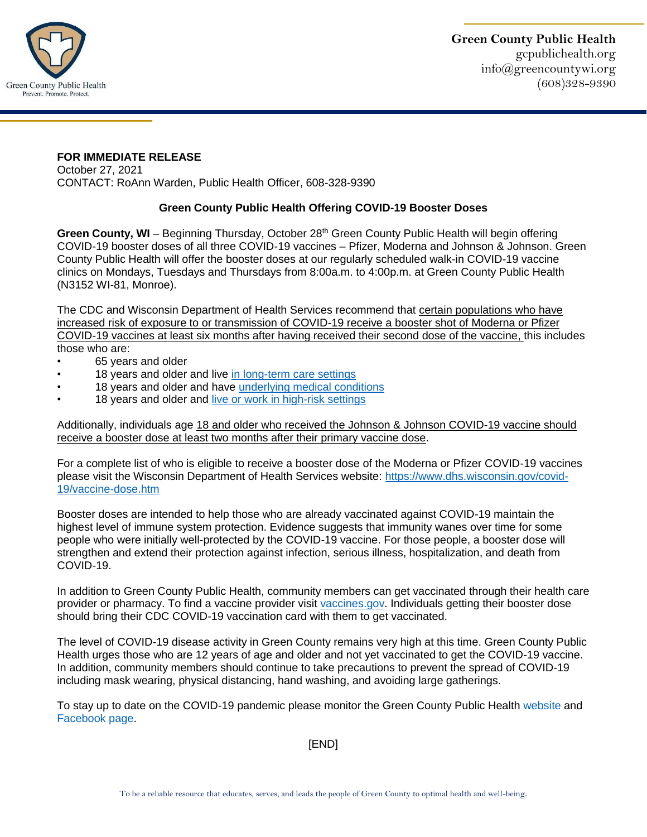

## **FOR IMMEDIATE RELEASE**

October 27, 2021 CONTACT: RoAnn Warden, Public Health Officer, 608-328-9390

## **Green County Public Health Offering COVID-19 Booster Doses**

**Green County, WI** – Beginning Thursday, October 28<sup>th</sup> Green County Public Health will begin offering COVID-19 booster doses of all three COVID-19 vaccines – Pfizer, Moderna and Johnson & Johnson. Green County Public Health will offer the booster doses at our regularly scheduled walk-in COVID-19 vaccine clinics on Mondays, Tuesdays and Thursdays from 8:00a.m. to 4:00p.m. at Green County Public Health (N3152 WI-81, Monroe).

The CDC and Wisconsin Department of Health Services recommend that certain populations who have increased risk of exposure to or transmission of COVID-19 receive a booster shot of Moderna or Pfizer COVID-19 vaccines at least six months after having received their second dose of the vaccine, this includes those who are:

- 65 years and older
- 18 years and older and live [in long-term care settings](https://www.cdc.gov/coronavirus/2019-ncov/vaccines/booster-shot.html#long-term-care)
- 18 years and older and have [underlying medical conditions](https://www.cdc.gov/coronavirus/2019-ncov/need-extra-precautions/people-with-medical-conditions.html)
- 18 years and older and [live or work in high-risk settings](https://www.cdc.gov/coronavirus/2019-ncov/vaccines/booster-shot.html#HighRisk)

Additionally, individuals age 18 and older who received the Johnson & Johnson COVID-19 vaccine should receive a booster dose at least two months after their primary vaccine dose.

For a complete list of who is eligible to receive a booster dose of the Moderna or Pfizer COVID-19 vaccines please visit the Wisconsin Department of Health Services website: [https://www.dhs.wisconsin.gov/covid-](https://www.dhs.wisconsin.gov/covid-19/vaccine-dose.htm)[19/vaccine-dose.htm](https://www.dhs.wisconsin.gov/covid-19/vaccine-dose.htm)

Booster doses are intended to help those who are already vaccinated against COVID-19 maintain the highest level of immune system protection. Evidence suggests that immunity wanes over time for some people who were initially well-protected by the COVID-19 vaccine. For those people, a booster dose will strengthen and extend their protection against infection, serious illness, hospitalization, and death from COVID-19.

In addition to Green County Public Health, community members can get vaccinated through their health care provider or pharmacy. To find a vaccine provider visit [vaccines.gov.](https://www.vaccines.gov/) Individuals getting their booster dose should bring their CDC COVID-19 vaccination card with them to get vaccinated.

The level of COVID-19 disease activity in Green County remains very high at this time. Green County Public Health urges those who are 12 years of age and older and not yet vaccinated to get the COVID-19 vaccine. In addition, community members should continue to take precautions to prevent the spread of COVID-19 including mask wearing, physical distancing, hand washing, and avoiding large gatherings.

To stay up to date on the COVID-19 pandemic please monitor the Green County Public Health website and Facebook page.

[END]